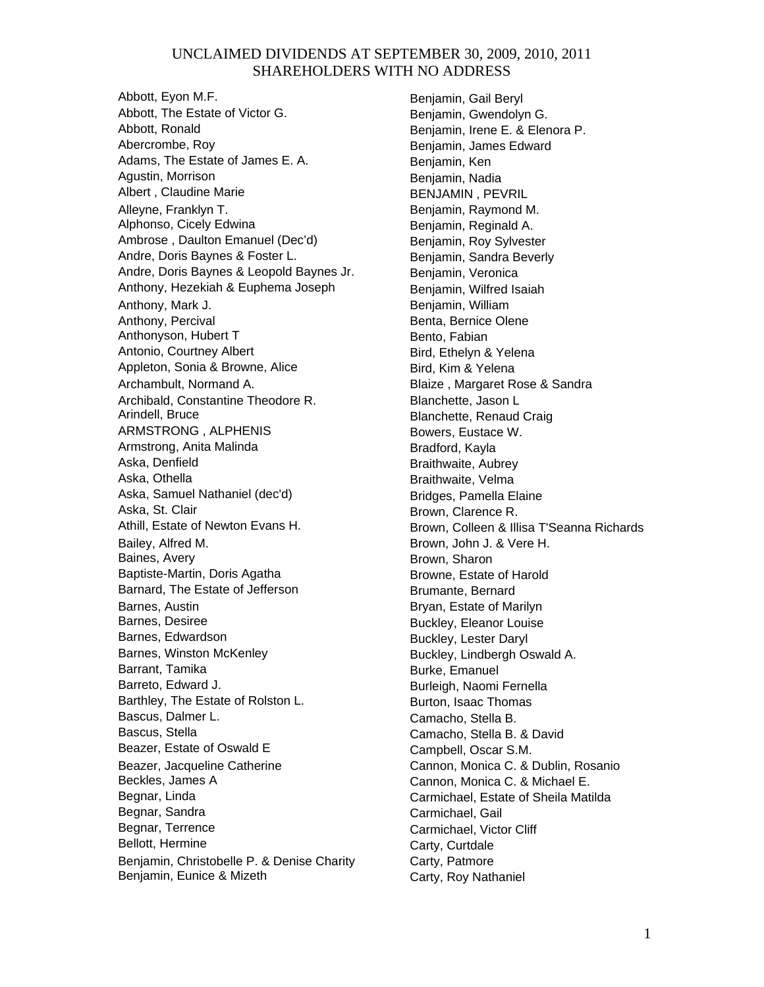Abbott, Eyon M.F. Abbott, The Estate of Victor G. Abbott, Ronald Abercrombe, Roy Adams, The Estate of James E. A. Agustin, Morrison Albert , Claudine Marie Alleyne, Franklyn T. Alphonso, Cicely Edwina Ambrose , Daulton Emanuel (Dec'd) Andre, Doris Baynes & Foster L. Andre, Doris Baynes & Leopold Baynes Jr. Anthony, Hezekiah & Euphema Joseph Anthony, Mark J. Anthony, Percival Anthonyson, Hubert T Antonio, Courtney Albert Appleton, Sonia & Browne, Alice Archambult, Normand A. Archibald, Constantine Theodore R. Arindell, Bruce ARMSTRONG , ALPHENIS Armstrong, Anita Malinda Aska, Denfield Aska, Othella Aska, Samuel Nathaniel (dec'd) Aska, St. Clair Athill, Estate of Newton Evans H. Bailey, Alfred M. Baines, Avery Baptiste-Martin, Doris Agatha Barnard, The Estate of Jefferson Barnes, Austin Barnes, Desiree Barnes, Edwardson Barnes, Winston McKenley Barrant, Tamika Barreto, Edward J. Barthley, The Estate of Rolston L. Bascus, Dalmer L. Bascus, Stella Beazer, Estate of Oswald E Beazer, Jacqueline Catherine Beckles, James A Begnar, Linda Begnar, Sandra Begnar, Terrence Bellott, Hermine Benjamin, Christobelle P. & Denise Charity Benjamin, Eunice & Mizeth

Benjamin, Gail Beryl Benjamin, Gwendolyn G. Benjamin, Irene E. & Elenora P. Benjamin, James Edward Benjamin, Ken Benjamin, Nadia BENJAMIN , PEVRIL Benjamin, Raymond M. Benjamin, Reginald A. Benjamin, Roy Sylvester Benjamin, Sandra Beverly Benjamin, Veronica Benjamin, Wilfred Isaiah Benjamin, William Benta, Bernice Olene Bento, Fabian Bird, Ethelyn & Yelena Bird, Kim & Yelena Blaize , Margaret Rose & Sandra Blanchette, Jason L Blanchette, Renaud Craig Bowers, Eustace W. Bradford, Kayla Braithwaite, Aubrey Braithwaite, Velma Bridges, Pamella Elaine Brown, Clarence R. Brown, Colleen & Illisa T'Seanna Richards Brown, John J. & Vere H. Brown, Sharon Browne, Estate of Harold Brumante, Bernard Bryan, Estate of Marilyn Buckley, Eleanor Louise Buckley, Lester Daryl Buckley, Lindbergh Oswald A. Burke, Emanuel Burleigh, Naomi Fernella Burton, Isaac Thomas Camacho, Stella B. Camacho, Stella B. & David Campbell, Oscar S.M. Cannon, Monica C. & Dublin, Rosanio Cannon, Monica C. & Michael E. Carmichael, Estate of Sheila Matilda Carmichael, Gail Carmichael, Victor Cliff Carty, Curtdale Carty, Patmore Carty, Roy Nathaniel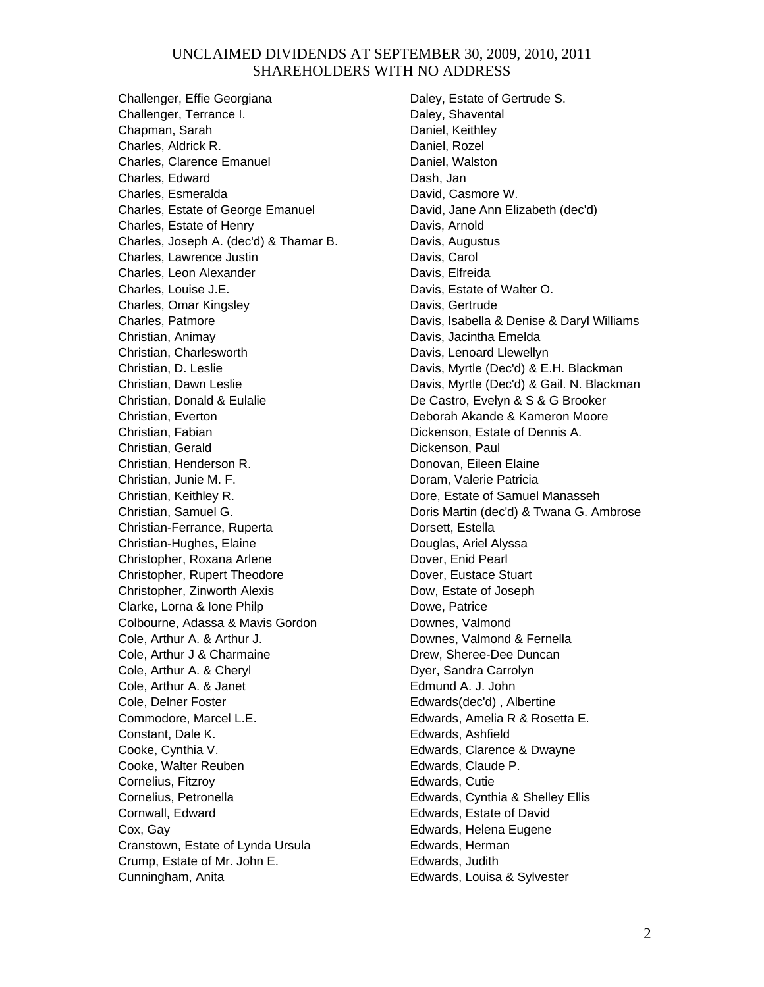Challenger, Effie Georgiana Challenger, Terrance I. Chapman, Sarah Charles, Aldrick R. Charles, Clarence Emanuel Charles, Edward Charles, Esmeralda Charles, Estate of George Emanuel Charles, Estate of Henry Charles, Joseph A. (dec'd) & Thamar B. Charles, Lawrence Justin Charles, Leon Alexander Charles, Louise J.E. Charles, Omar Kingsley Charles, Patmore Christian, Animay Christian, Charlesworth Christian, D. Leslie Christian, Dawn Leslie Christian, Donald & Eulalie Christian, Everton Christian, Fabian Christian, Gerald Christian, Henderson R. Christian, Junie M. F. Christian, Keithley R. Christian, Samuel G. Christian-Ferrance, Ruperta Christian-Hughes, Elaine Christopher, Roxana Arlene Christopher, Rupert Theodore Christopher, Zinworth Alexis Clarke, Lorna & Ione Philp Colbourne, Adassa & Mavis Gordon Cole, Arthur A. & Arthur J. Cole, Arthur J & Charmaine Cole, Arthur A. & Cheryl Cole, Arthur A. & Janet Cole, Delner Foster Commodore, Marcel L.E. Constant, Dale K. Cooke, Cynthia V. Cooke, Walter Reuben Cornelius, Fitzroy Cornelius, Petronella Cornwall, Edward Cox, Gay Cranstown, Estate of Lynda Ursula Crump, Estate of Mr. John E. Cunningham, Anita

Daley, Estate of Gertrude S. Daley, Shavental Daniel, Keithley Daniel, Rozel Daniel, Walston Dash, Jan David, Casmore W. David, Jane Ann Elizabeth (dec'd) Davis, Arnold Davis, Augustus Davis, Carol Davis, Elfreida Davis, Estate of Walter O. Davis, Gertrude Davis, Isabella & Denise & Daryl Williams Davis, Jacintha Emelda Davis, Lenoard Llewellyn Davis, Myrtle (Dec'd) & E.H. Blackman Davis, Myrtle (Dec'd) & Gail. N. Blackman De Castro, Evelyn & S & G Brooker Deborah Akande & Kameron Moore Dickenson, Estate of Dennis A. Dickenson, Paul Donovan, Eileen Elaine Doram, Valerie Patricia Dore, Estate of Samuel Manasseh Doris Martin (dec'd) & Twana G. Ambrose Dorsett, Estella Douglas, Ariel Alyssa Dover, Enid Pearl Dover, Eustace Stuart Dow, Estate of Joseph Dowe, Patrice Downes, Valmond Downes, Valmond & Fernella Drew, Sheree-Dee Duncan Dyer, Sandra Carrolyn Edmund A. J. John Edwards(dec'd) , Albertine Edwards, Amelia R & Rosetta E. Edwards, Ashfield Edwards, Clarence & Dwayne Edwards, Claude P. Edwards, Cutie Edwards, Cynthia & Shelley Ellis Edwards, Estate of David Edwards, Helena Eugene Edwards, Herman Edwards, Judith Edwards, Louisa & Sylvester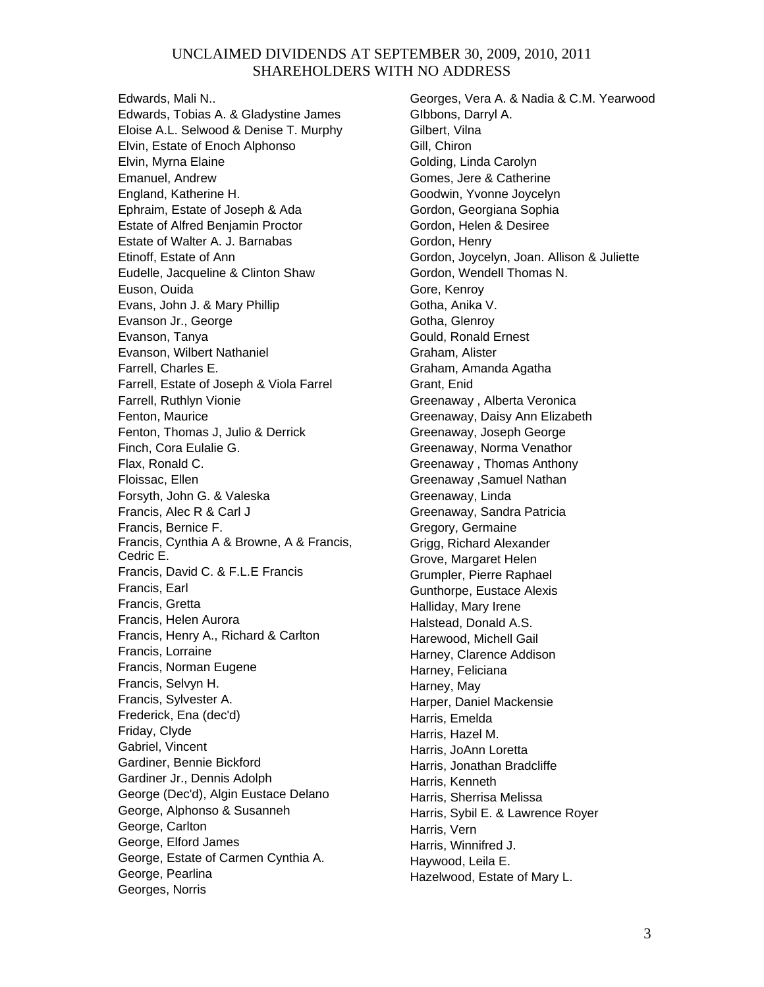Edwards, Mali N.. Edwards, Tobias A. & Gladystine James Eloise A.L. Selwood & Denise T. Murphy Elvin, Estate of Enoch Alphonso Elvin, Myrna Elaine Emanuel, Andrew England, Katherine H. Ephraim, Estate of Joseph & Ada Estate of Alfred Benjamin Proctor Estate of Walter A. J. Barnabas Etinoff, Estate of Ann Eudelle, Jacqueline & Clinton Shaw Euson, Ouida Evans, John J. & Mary Phillip Evanson Jr., George Evanson, Tanya Evanson, Wilbert Nathaniel Farrell, Charles E. Farrell, Estate of Joseph & Viola Farrel Farrell, Ruthlyn Vionie Fenton, Maurice Fenton, Thomas J, Julio & Derrick Finch, Cora Eulalie G. Flax, Ronald C. Floissac, Ellen Forsyth, John G. & Valeska Francis, Alec R & Carl J Francis, Bernice F. Francis, Cynthia A & Browne, A & Francis, Cedric E. Francis, David C. & F.L.E Francis Francis, Earl Francis, Gretta Francis, Helen Aurora Francis, Henry A., Richard & Carlton Francis, Lorraine Francis, Norman Eugene Francis, Selvyn H. Francis, Sylvester A. Frederick, Ena (dec'd) Friday, Clyde Gabriel, Vincent Gardiner, Bennie Bickford Gardiner Jr., Dennis Adolph George (Dec'd), Algin Eustace Delano George, Alphonso & Susanneh George, Carlton George, Elford James George, Estate of Carmen Cynthia A. George, Pearlina Georges, Norris

Georges, Vera A. & Nadia & C.M. Yearwood GIbbons, Darryl A. Gilbert, Vilna Gill, Chiron Golding, Linda Carolyn Gomes, Jere & Catherine Goodwin, Yvonne Joycelyn Gordon, Georgiana Sophia Gordon, Helen & Desiree Gordon, Henry Gordon, Joycelyn, Joan. Allison & Juliette Gordon, Wendell Thomas N. Gore, Kenroy Gotha, Anika V. Gotha, Glenroy Gould, Ronald Ernest Graham, Alister Graham, Amanda Agatha Grant, Enid Greenaway , Alberta Veronica Greenaway, Daisy Ann Elizabeth Greenaway, Joseph George Greenaway, Norma Venathor Greenaway , Thomas Anthony Greenaway ,Samuel Nathan Greenaway, Linda Greenaway, Sandra Patricia Gregory, Germaine Grigg, Richard Alexander Grove, Margaret Helen Grumpler, Pierre Raphael Gunthorpe, Eustace Alexis Halliday, Mary Irene Halstead, Donald A.S. Harewood, Michell Gail Harney, Clarence Addison Harney, Feliciana Harney, May Harper, Daniel Mackensie Harris, Emelda Harris, Hazel M. Harris, JoAnn Loretta Harris, Jonathan Bradcliffe Harris, Kenneth Harris, Sherrisa Melissa Harris, Sybil E. & Lawrence Royer Harris, Vern Harris, Winnifred J. Haywood, Leila E. Hazelwood, Estate of Mary L.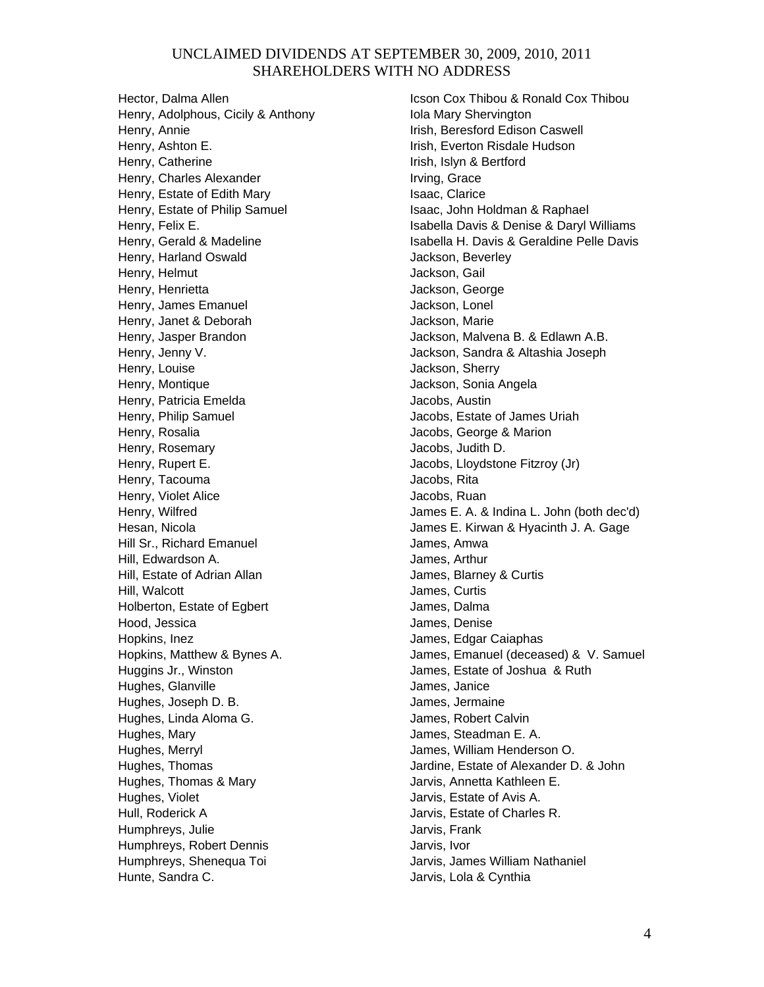Hector, Dalma Allen Henry, Adolphous, Cicily & Anthony Henry, Annie Henry, Ashton E. Henry, Catherine Henry, Charles Alexander Henry, Estate of Edith Mary Henry, Estate of Philip Samuel Henry, Felix E. Henry, Gerald & Madeline Henry, Harland Oswald Henry, Helmut Henry, Henrietta Henry, James Emanuel Henry, Janet & Deborah Henry, Jasper Brandon Henry, Jenny V. Henry, Louise Henry, Montique Henry, Patricia Emelda Henry, Philip Samuel Henry, Rosalia Henry, Rosemary Henry, Rupert E. Henry, Tacouma Henry, Violet Alice Henry, Wilfred Hesan, Nicola Hill Sr., Richard Emanuel Hill, Edwardson A. Hill, Estate of Adrian Allan Hill, Walcott Holberton, Estate of Egbert Hood, Jessica Hopkins, Inez Hopkins, Matthew & Bynes A. Huggins Jr., Winston Hughes, Glanville Hughes, Joseph D. B. Hughes, Linda Aloma G. Hughes, Mary Hughes, Merryl Hughes, Thomas Hughes, Thomas & Mary Hughes, Violet Hull, Roderick A Humphreys, Julie Humphreys, Robert Dennis Humphreys, Shenequa Toi Hunte, Sandra C.

Icson Cox Thibou & Ronald Cox Thibou Iola Mary Shervington Irish, Beresford Edison Caswell Irish, Everton Risdale Hudson Irish, Islyn & Bertford Irving, Grace Isaac, Clarice Isaac, John Holdman & Raphael Isabella Davis & Denise & Daryl Williams Isabella H. Davis & Geraldine Pelle Davis Jackson, Beverley Jackson, Gail Jackson, George Jackson, Lonel Jackson, Marie Jackson, Malvena B. & Edlawn A.B. Jackson, Sandra & Altashia Joseph Jackson, Sherry Jackson, Sonia Angela Jacobs, Austin Jacobs, Estate of James Uriah Jacobs, George & Marion Jacobs, Judith D. Jacobs, Lloydstone Fitzroy (Jr) Jacobs, Rita Jacobs, Ruan James E. A. & Indina L. John (both dec'd) James E. Kirwan & Hyacinth J. A. Gage James, Amwa James, Arthur James, Blarney & Curtis James, Curtis James, Dalma James, Denise James, Edgar Caiaphas James, Emanuel (deceased) & V. Samuel James, Estate of Joshua & Ruth James, Janice James, Jermaine James, Robert Calvin James, Steadman E. A. James, William Henderson O. Jardine, Estate of Alexander D. & John Jarvis, Annetta Kathleen E. Jarvis, Estate of Avis A. Jarvis, Estate of Charles R. Jarvis, Frank Jarvis, Ivor Jarvis, James William Nathaniel Jarvis, Lola & Cynthia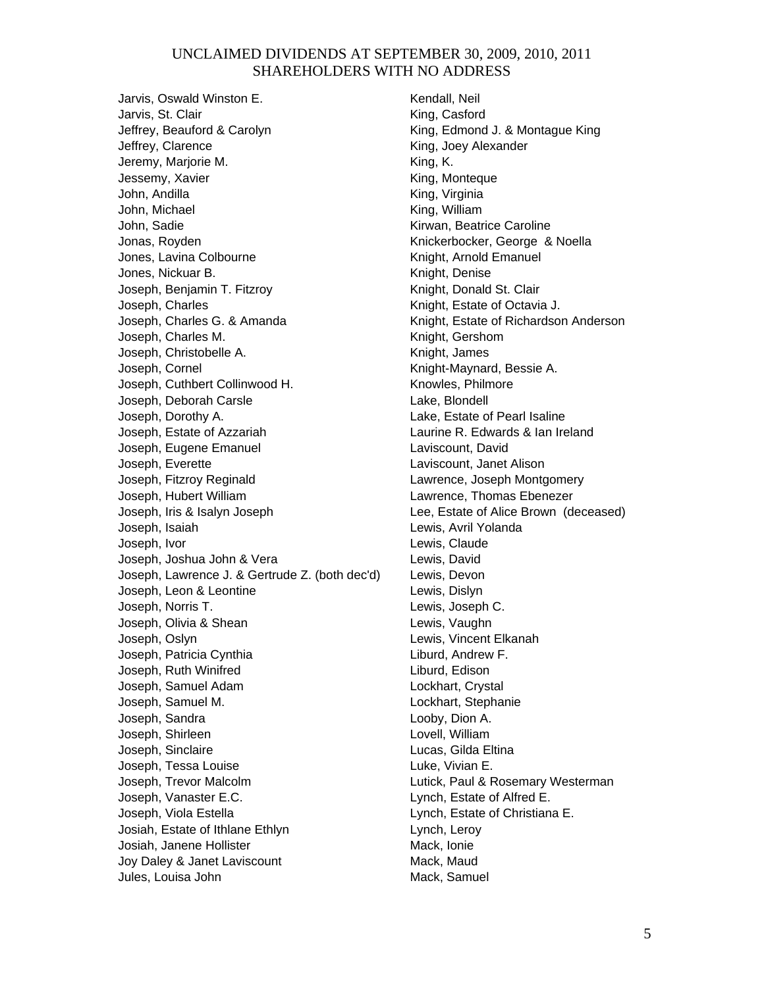Jarvis, Oswald Winston E. Jarvis, St. Clair Jeffrey, Beauford & Carolyn Jeffrey, Clarence Jeremy, Marjorie M. Jessemy, Xavier John, Andilla John, Michael John, Sadie Jonas, Royden Jones, Lavina Colbourne Jones, Nickuar B. Joseph, Benjamin T. Fitzroy Joseph, Charles Joseph, Charles G. & Amanda Joseph, Charles M. Joseph, Christobelle A. Joseph, Cornel Joseph, Cuthbert Collinwood H. Joseph, Deborah Carsle Joseph, Dorothy A. Joseph, Estate of Azzariah Joseph, Eugene Emanuel Joseph, Everette Joseph, Fitzroy Reginald Joseph, Hubert William Joseph, Iris & Isalyn Joseph Joseph, Isaiah Joseph, Ivor Joseph, Joshua John & Vera Joseph, Lawrence J. & Gertrude Z. (both dec'd) Joseph, Leon & Leontine Joseph, Norris T. Joseph, Olivia & Shean Joseph, Oslyn Joseph, Patricia Cynthia Joseph, Ruth Winifred Joseph, Samuel Adam Joseph, Samuel M. Joseph, Sandra Joseph, Shirleen Joseph, Sinclaire Joseph, Tessa Louise Joseph, Trevor Malcolm Joseph, Vanaster E.C. Joseph, Viola Estella Josiah, Estate of Ithlane Ethlyn Josiah, Janene Hollister Joy Daley & Janet Laviscount Jules, Louisa John

Kendall, Neil King, Casford King, Edmond J. & Montague King King, Joey Alexander King, K. King, Monteque King, Virginia King, William Kirwan, Beatrice Caroline Knickerbocker, George & Noella Knight, Arnold Emanuel Knight, Denise Knight, Donald St. Clair Knight, Estate of Octavia J. Knight, Estate of Richardson Anderson Knight, Gershom Knight, James Knight-Maynard, Bessie A. Knowles, Philmore Lake, Blondell Lake, Estate of Pearl Isaline Laurine R. Edwards & Ian Ireland Laviscount, David Laviscount, Janet Alison Lawrence, Joseph Montgomery Lawrence, Thomas Ebenezer Lee, Estate of Alice Brown (deceased) Lewis, Avril Yolanda Lewis, Claude Lewis, David Lewis, Devon Lewis, Dislyn Lewis, Joseph C. Lewis, Vaughn Lewis, Vincent Elkanah Liburd, Andrew F. Liburd, Edison Lockhart, Crystal Lockhart, Stephanie Looby, Dion A. Lovell, William Lucas, Gilda Eltina Luke, Vivian E. Lutick, Paul & Rosemary Westerman Lynch, Estate of Alfred E. Lynch, Estate of Christiana E. Lynch, Leroy Mack, Ionie Mack, Maud Mack, Samuel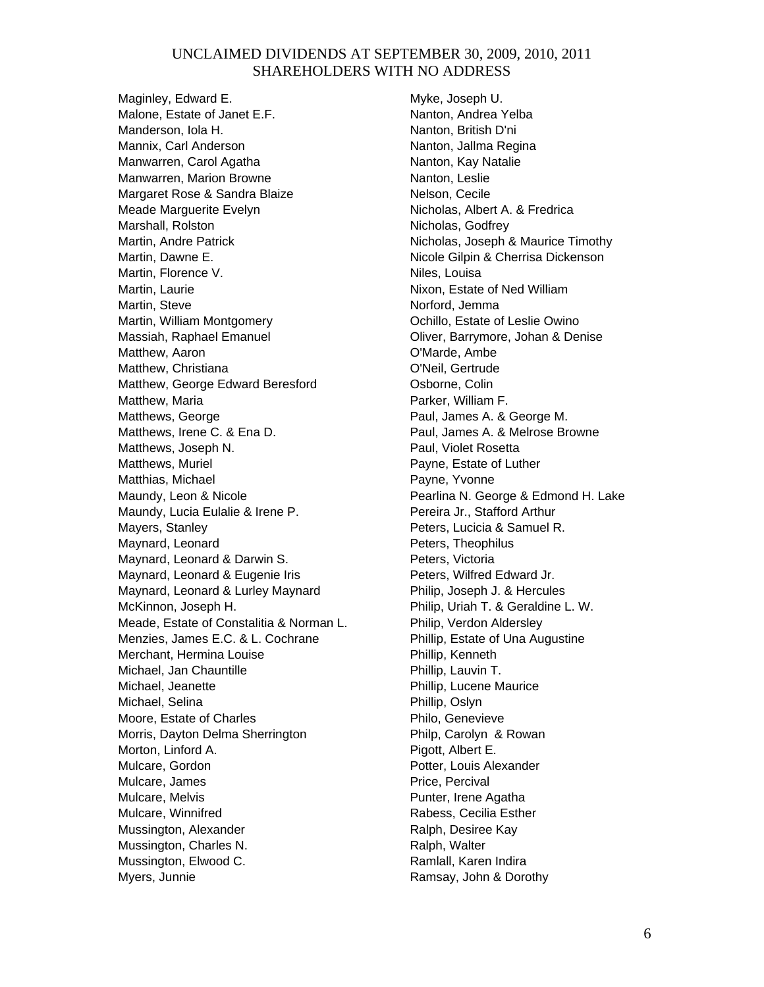Maginley, Edward E. Malone, Estate of Janet E.F. Manderson, Iola H. Mannix, Carl Anderson Manwarren, Carol Agatha Manwarren, Marion Browne Margaret Rose & Sandra Blaize Meade Marguerite Evelyn Marshall, Rolston Martin, Andre Patrick Martin, Dawne E. Martin, Florence V. Martin, Laurie Martin, Steve Martin, William Montgomery Massiah, Raphael Emanuel Matthew, Aaron Matthew, Christiana Matthew, George Edward Beresford Matthew, Maria Matthews, George Matthews, Irene C. & Ena D. Matthews, Joseph N. Matthews, Muriel Matthias, Michael Maundy, Leon & Nicole Maundy, Lucia Eulalie & Irene P. Mayers, Stanley Maynard, Leonard Maynard, Leonard & Darwin S. Maynard, Leonard & Eugenie Iris Maynard, Leonard & Lurley Maynard McKinnon, Joseph H. Meade, Estate of Constalitia & Norman L. Menzies, James E.C. & L. Cochrane Merchant, Hermina Louise Michael, Jan Chauntille Michael, Jeanette Michael, Selina Moore, Estate of Charles Morris, Dayton Delma Sherrington Morton, Linford A. Mulcare, Gordon Mulcare, James Mulcare, Melvis Mulcare, Winnifred Mussington, Alexander Mussington, Charles N. Mussington, Elwood C. Myers, Junnie

Myke, Joseph U. Nanton, Andrea Yelba Nanton, British D'ni Nanton, Jallma Regina Nanton, Kay Natalie Nanton, Leslie Nelson, Cecile Nicholas, Albert A. & Fredrica Nicholas, Godfrey Nicholas, Joseph & Maurice Timothy Nicole Gilpin & Cherrisa Dickenson Niles, Louisa Nixon, Estate of Ned William Norford, Jemma Ochillo, Estate of Leslie Owino Oliver, Barrymore, Johan & Denise O'Marde, Ambe O'Neil, Gertrude Osborne, Colin Parker, William F. Paul, James A. & George M. Paul, James A. & Melrose Browne Paul, Violet Rosetta Payne, Estate of Luther Payne, Yvonne Pearlina N. George & Edmond H. Lake Pereira Jr., Stafford Arthur Peters, Lucicia & Samuel R. Peters, Theophilus Peters, Victoria Peters, Wilfred Edward Jr. Philip, Joseph J. & Hercules Philip, Uriah T. & Geraldine L. W. Philip, Verdon Aldersley Phillip, Estate of Una Augustine Phillip, Kenneth Phillip, Lauvin T. Phillip, Lucene Maurice Phillip, Oslyn Philo, Genevieve Philp, Carolyn & Rowan Pigott, Albert E. Potter, Louis Alexander Price, Percival Punter, Irene Agatha Rabess, Cecilia Esther Ralph, Desiree Kay Ralph, Walter Ramlall, Karen Indira Ramsay, John & Dorothy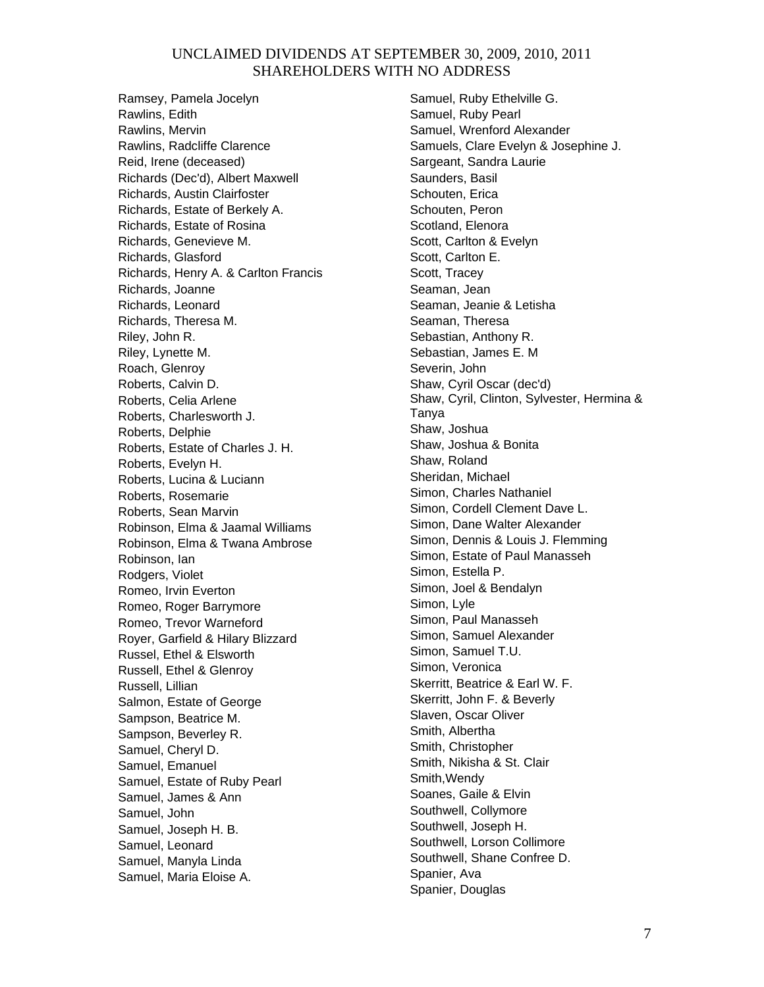Ramsey, Pamela Jocelyn Rawlins, Edith Rawlins, Mervin Rawlins, Radcliffe Clarence Reid, Irene (deceased) Richards (Dec'd), Albert Maxwell Richards, Austin Clairfoster Richards, Estate of Berkely A. Richards, Estate of Rosina Richards, Genevieve M. Richards, Glasford Richards, Henry A. & Carlton Francis Richards, Joanne Richards, Leonard Richards, Theresa M. Riley, John R. Riley, Lynette M. Roach, Glenroy Roberts, Calvin D. Roberts, Celia Arlene Roberts, Charlesworth J. Roberts, Delphie Roberts, Estate of Charles J. H. Roberts, Evelyn H. Roberts, Lucina & Luciann Roberts, Rosemarie Roberts, Sean Marvin Robinson, Elma & Jaamal Williams Robinson, Elma & Twana Ambrose Robinson, Ian Rodgers, Violet Romeo, Irvin Everton Romeo, Roger Barrymore Romeo, Trevor Warneford Royer, Garfield & Hilary Blizzard Russel, Ethel & Elsworth Russell, Ethel & Glenroy Russell, Lillian Salmon, Estate of George Sampson, Beatrice M. Sampson, Beverley R. Samuel, Cheryl D. Samuel, Emanuel Samuel, Estate of Ruby Pearl Samuel, James & Ann Samuel, John Samuel, Joseph H. B. Samuel, Leonard Samuel, Manyla Linda Samuel, Maria Eloise A.

Samuel, Ruby Ethelville G. Samuel, Ruby Pearl Samuel, Wrenford Alexander Samuels, Clare Evelyn & Josephine J. Sargeant, Sandra Laurie Saunders, Basil Schouten, Erica Schouten, Peron Scotland, Elenora Scott, Carlton & Evelyn Scott, Carlton E. Scott, Tracey Seaman, Jean Seaman, Jeanie & Letisha Seaman, Theresa Sebastian, Anthony R. Sebastian, James E. M Severin, John Shaw, Cyril Oscar (dec'd) Shaw, Cyril, Clinton, Sylvester, Hermina & Tanya Shaw, Joshua Shaw, Joshua & Bonita Shaw, Roland Sheridan, Michael Simon, Charles Nathaniel Simon, Cordell Clement Dave L. Simon, Dane Walter Alexander Simon, Dennis & Louis J. Flemming Simon, Estate of Paul Manasseh Simon, Estella P. Simon, Joel & Bendalyn Simon, Lyle Simon, Paul Manasseh Simon, Samuel Alexander Simon, Samuel T.U. Simon, Veronica Skerritt, Beatrice & Earl W. F. Skerritt, John F. & Beverly Slaven, Oscar Oliver Smith, Albertha Smith, Christopher Smith, Nikisha & St. Clair Smith,Wendy Soanes, Gaile & Elvin Southwell, Collymore Southwell, Joseph H. Southwell, Lorson Collimore Southwell, Shane Confree D. Spanier, Ava Spanier, Douglas